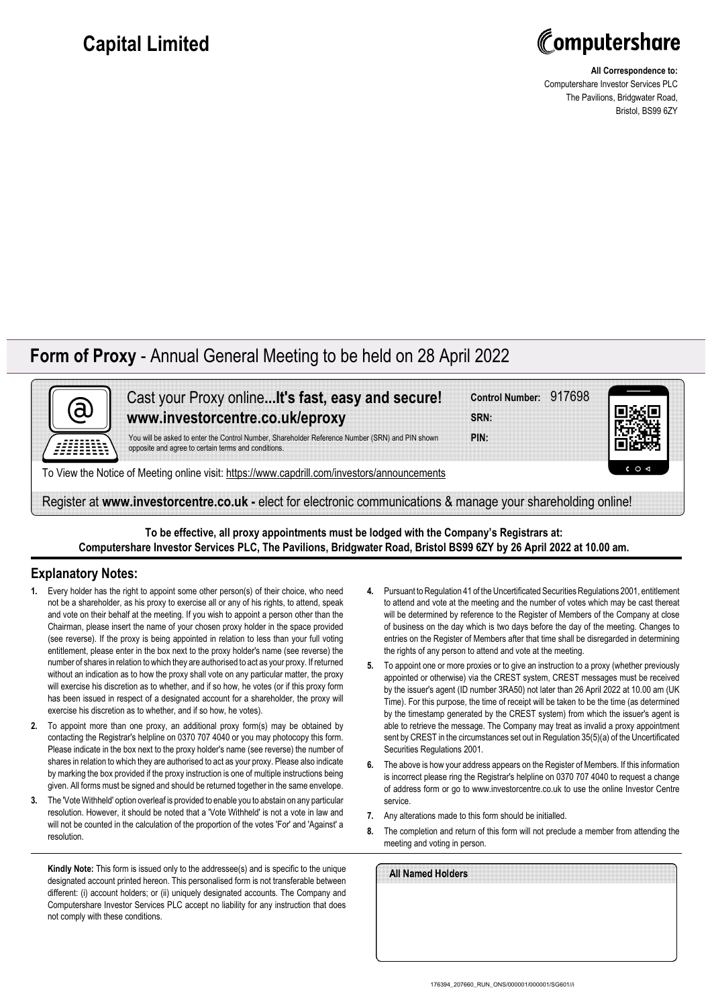## **Capital Limited**



**All Correspondence to:** Computershare Investor Services PLC The Pavilions, Bridgwater Road, Bristol, BS99 6ZY

## **Form of Proxy** - Annual General Meeting to be held on 28 April 2022



Cast your Proxy online**...It's fast, easy and secure! www.investorcentre.co.uk/eproxy**

You will be asked to enter the Control Number, Shareholder Reference Number (SRN) and PIN shown opposite and agree to certain terms and conditions.

To View the Notice of Meeting online visit: https://www.capdrill.com/investors/announcements

Register at **www.investorcentre.co.uk -** elect for electronic communications & manage your shareholding online!

**To be effective, all proxy appointments must be lodged with the Company's Registrars at: Computershare Investor Services PLC, The Pavilions, Bridgwater Road, Bristol BS99 6ZY by 26 April 2022 at 10.00 am.**

## **Explanatory Notes:**

- **1.** Every holder has the right to appoint some other person(s) of their choice, who need not be a shareholder, as his proxy to exercise all or any of his rights, to attend, speak and vote on their behalf at the meeting. If you wish to appoint a person other than the Chairman, please insert the name of your chosen proxy holder in the space provided (see reverse). If the proxy is being appointed in relation to less than your full voting entitlement, please enter in the box next to the proxy holder's name (see reverse) the number of shares in relation to which they are authorised to act as your proxy. If returned without an indication as to how the proxy shall vote on any particular matter, the proxy will exercise his discretion as to whether, and if so how, he votes (or if this proxy form has been issued in respect of a designated account for a shareholder, the proxy will exercise his discretion as to whether, and if so how, he votes).
- **2.** To appoint more than one proxy, an additional proxy form(s) may be obtained by contacting the Registrar's helpline on 0370 707 4040 or you may photocopy this form. Please indicate in the box next to the proxy holder's name (see reverse) the number of shares in relation to which they are authorised to act as your proxy. Please also indicate by marking the box provided if the proxy instruction is one of multiple instructions being given. All forms must be signed and should be returned together in the same envelope.
- **3.** The 'Vote Withheld' option overleaf is provided to enable you to abstain on any particular resolution. However, it should be noted that a 'Vote Withheld' is not a vote in law and will not be counted in the calculation of the proportion of the votes 'For' and 'Against' a resolution.

**Kindly Note:** This form is issued only to the addressee(s) and is specific to the unique designated account printed hereon. This personalised form is not transferable between different: (i) account holders; or (ii) uniquely designated accounts. The Company and Computershare Investor Services PLC accept no liability for any instruction that does not comply with these conditions.

**4.** Pursuant to Regulation 41 of the Uncertificated Securities Regulations 2001, entitlement to attend and vote at the meeting and the number of votes which may be cast thereat will be determined by reference to the Register of Members of the Company at close of business on the day which is two days before the day of the meeting. Changes to entries on the Register of Members after that time shall be disregarded in determining the rights of any person to attend and vote at the meeting.

**Control Number:** 917698

**PIN: SRN:**

- **5.** To appoint one or more proxies or to give an instruction to a proxy (whether previously appointed or otherwise) via the CREST system, CREST messages must be received by the issuer's agent (ID number 3RA50) not later than 26 April 2022 at 10.00 am (UK Time). For this purpose, the time of receipt will be taken to be the time (as determined by the timestamp generated by the CREST system) from which the issuer's agent is able to retrieve the message. The Company may treat as invalid a proxy appointment sent by CREST in the circumstances set out in Regulation 35(5)(a) of the Uncertificated Securities Regulations 2001.
- **6.** The above is how your address appears on the Register of Members. If this information is incorrect please ring the Registrar's helpline on 0370 707 4040 to request a change of address form or go to www.investorcentre.co.uk to use the online Investor Centre service.
- **7.** Any alterations made to this form should be initialled.
- **8.** The completion and return of this form will not preclude a member from attending the meeting and voting in person.

| All Named Holders |  |  |
|-------------------|--|--|
|                   |  |  |
|                   |  |  |
|                   |  |  |
|                   |  |  |